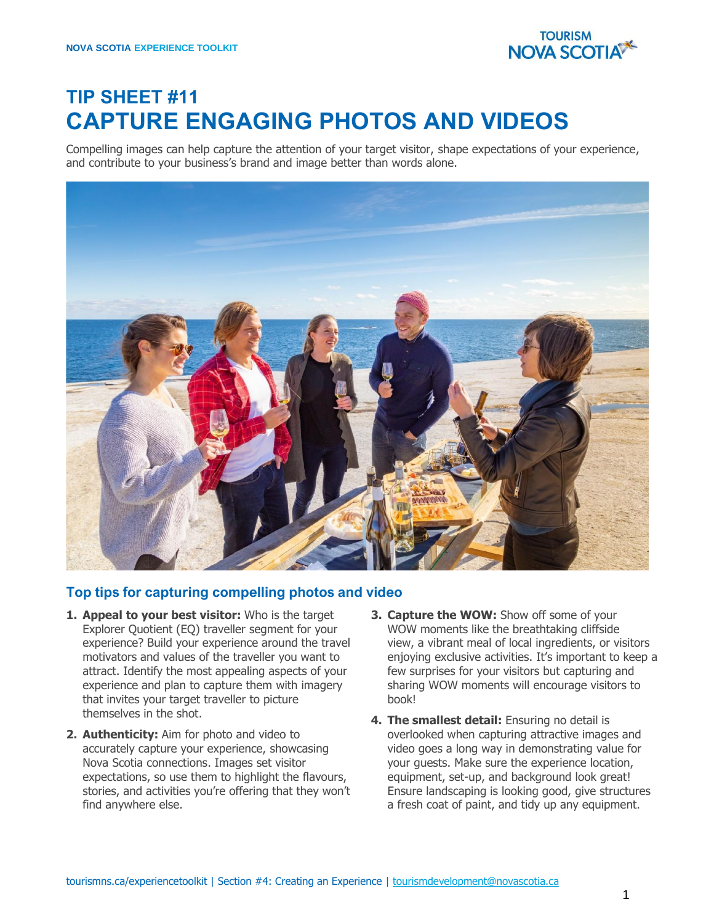

# **TIP SHEET #11 CAPTURE ENGAGING PHOTOS AND VIDEOS**

Compelling images can help capture the attention of your target visitor, shape expectations of your experience, and contribute to your business's brand and image better than words alone.



### **Top tips for capturing compelling photos and video**

- **1. Appeal to your best visitor:** Who is the target Explorer Quotient (EQ) traveller segment for your experience? Build your experience around the travel motivators and values of the traveller you want to attract. Identify the most appealing aspects of your experience and plan to capture them with imagery that invites your target traveller to picture themselves in the shot.
- **2. Authenticity:** Aim for photo and video to accurately capture your experience, showcasing Nova Scotia connections. Images set visitor expectations, so use them to highlight the flavours, stories, and activities you're offering that they won't find anywhere else.
- **3. Capture the WOW:** Show off some of your WOW moments like the breathtaking cliffside view, a vibrant meal of local ingredients, or visitors enjoying exclusive activities. It's important to keep a few surprises for your visitors but capturing and sharing WOW moments will encourage visitors to book!
- **4. The smallest detail:** Ensuring no detail is overlooked when capturing attractive images and video goes a long way in demonstrating value for your guests. Make sure the experience location, equipment, set-up, and background look great! Ensure landscaping is looking good, give structures a fresh coat of paint, and tidy up any equipment.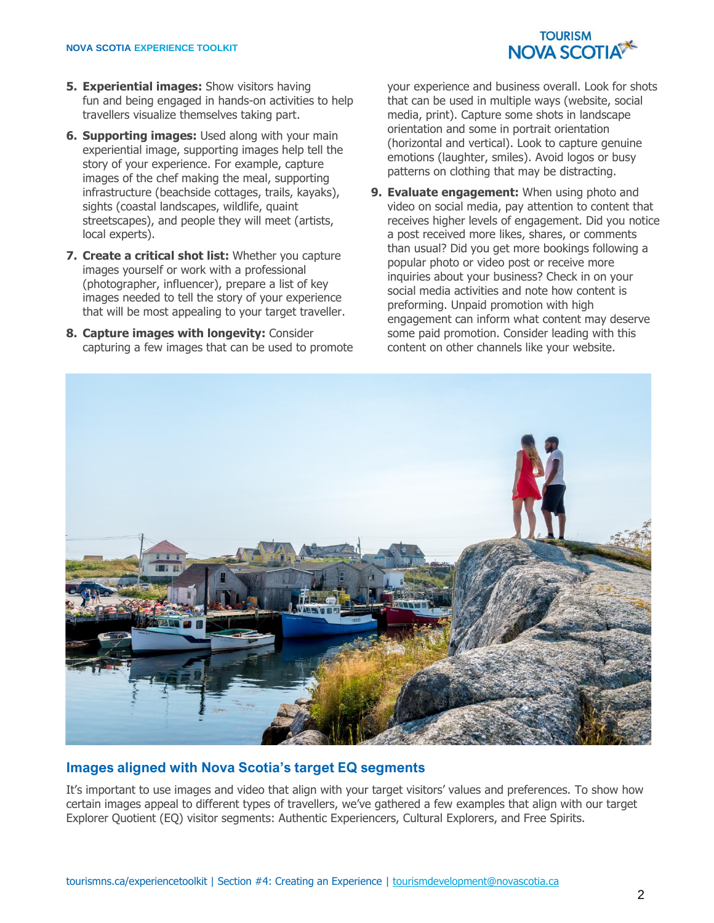

- **5. Experiential images:** Show visitors having fun and being engaged in hands-on activities to help travellers visualize themselves taking part.
- **6. Supporting images:** Used along with your main experiential image, supporting images help tell the story of your experience. For example, capture images of the chef making the meal, supporting infrastructure (beachside cottages, trails, kayaks), sights (coastal landscapes, wildlife, quaint streetscapes), and people they will meet (artists, local experts).
- **7. Create a critical shot list:** Whether you capture images yourself or work with a professional (photographer, influencer), prepare a list of key images needed to tell the story of your experience that will be most appealing to your target traveller.
- **8. Capture images with longevity:** Consider capturing a few images that can be used to promote

your experience and business overall. Look for shots that can be used in multiple ways (website, social media, print). Capture some shots in landscape orientation and some in portrait orientation (horizontal and vertical). Look to capture genuine emotions (laughter, smiles). Avoid logos or busy patterns on clothing that may be distracting.

**9. Evaluate engagement:** When using photo and video on social media, pay attention to content that receives higher levels of engagement. Did you notice a post received more likes, shares, or comments than usual? Did you get more bookings following a popular photo or video post or receive more inquiries about your business? Check in on your social media activities and note how content is preforming. Unpaid promotion with high engagement can inform what content may deserve some paid promotion. Consider leading with this content on other channels like your website.



## **Images aligned with Nova Scotia's target EQ segments**

It's important to use images and video that align with your target visitors' values and preferences. To show how certain images appeal to different types of travellers, we've gathered a few examples that align with our target Explorer Quotient (EQ) visitor segments: Authentic Experiencers, Cultural Explorers, and Free Spirits.